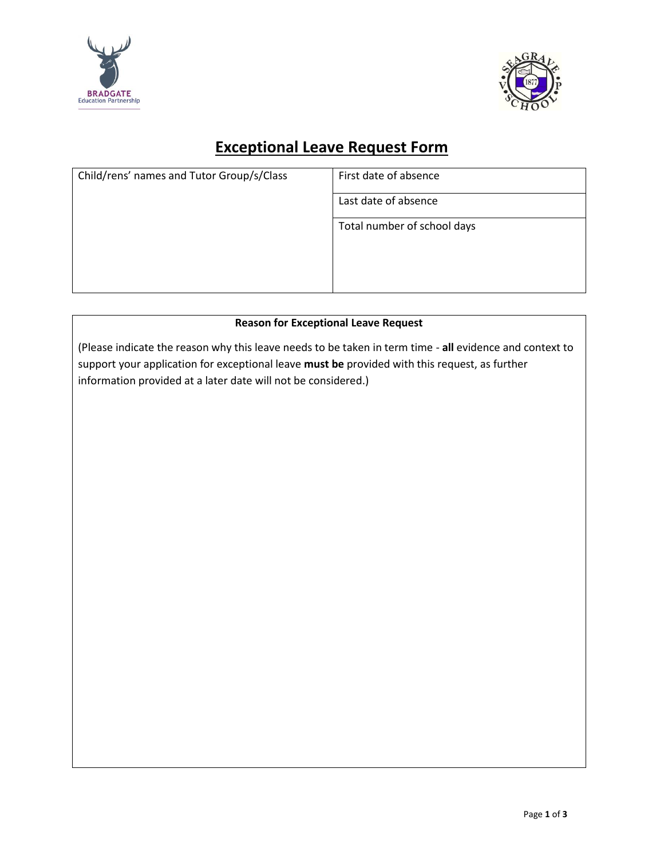



## **Exceptional Leave Request Form**

| Child/rens' names and Tutor Group/s/Class | First date of absence       |
|-------------------------------------------|-----------------------------|
|                                           | Last date of absence        |
|                                           | Total number of school days |
|                                           |                             |
|                                           |                             |

## **Reason for Exceptional Leave Request**

(Please indicate the reason why this leave needs to be taken in term time - **all** evidence and context to support your application for exceptional leave **must be** provided with this request, as further information provided at a later date will not be considered.)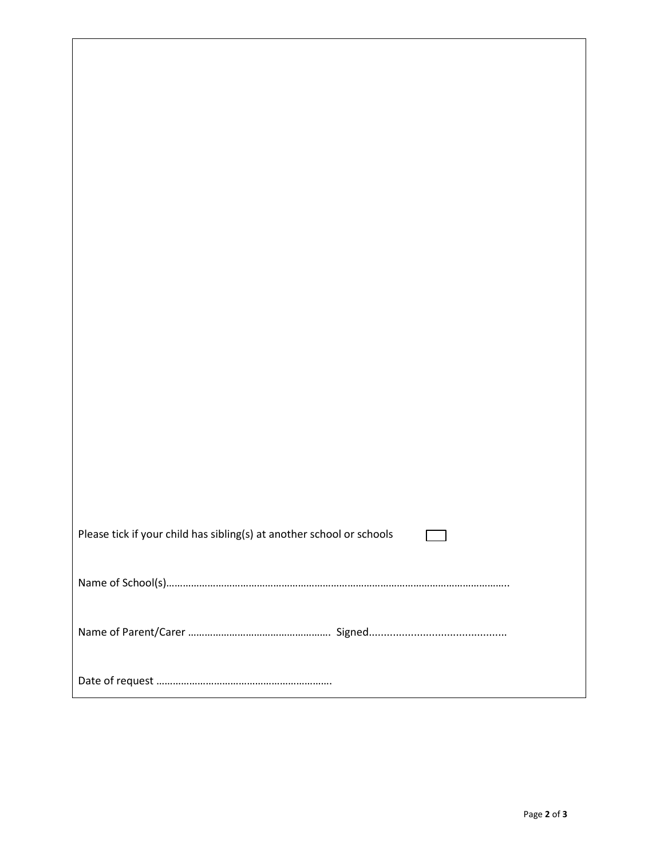| Please tick if your child has sibling(s) at another school or schools |  |  |
|-----------------------------------------------------------------------|--|--|
|                                                                       |  |  |
|                                                                       |  |  |
|                                                                       |  |  |